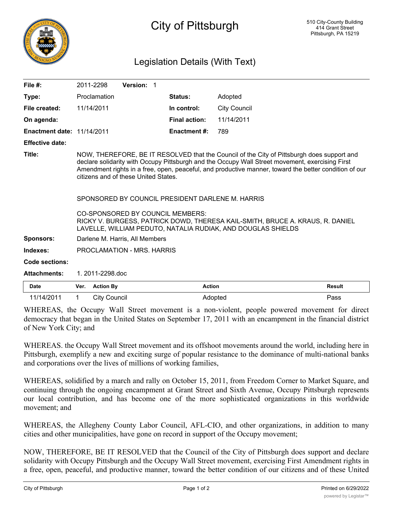

## Legislation Details (With Text)

| File $#$ :                        | 2011-2298                                                                                                                                                                                                                                                                                                                                                                                                                                                                                                                                                                               | Version: 1 |                      |                     |  |  |
|-----------------------------------|-----------------------------------------------------------------------------------------------------------------------------------------------------------------------------------------------------------------------------------------------------------------------------------------------------------------------------------------------------------------------------------------------------------------------------------------------------------------------------------------------------------------------------------------------------------------------------------------|------------|----------------------|---------------------|--|--|
| Type:                             | Proclamation                                                                                                                                                                                                                                                                                                                                                                                                                                                                                                                                                                            |            | Status:              | Adopted             |  |  |
| File created:                     | 11/14/2011                                                                                                                                                                                                                                                                                                                                                                                                                                                                                                                                                                              |            | In control:          | <b>City Council</b> |  |  |
| On agenda:                        |                                                                                                                                                                                                                                                                                                                                                                                                                                                                                                                                                                                         |            | <b>Final action:</b> | 11/14/2011          |  |  |
| <b>Enactment date: 11/14/2011</b> |                                                                                                                                                                                                                                                                                                                                                                                                                                                                                                                                                                                         |            | <b>Enactment #:</b>  | 789                 |  |  |
| <b>Effective date:</b>            |                                                                                                                                                                                                                                                                                                                                                                                                                                                                                                                                                                                         |            |                      |                     |  |  |
| Title:                            | NOW, THEREFORE, BE IT RESOLVED that the Council of the City of Pittsburgh does support and<br>declare solidarity with Occupy Pittsburgh and the Occupy Wall Street movement, exercising First<br>Amendment rights in a free, open, peaceful, and productive manner, toward the better condition of our<br>citizens and of these United States.<br>SPONSORED BY COUNCIL PRESIDENT DARLENE M. HARRIS<br>CO-SPONSORED BY COUNCIL MEMBERS:<br>RICKY V. BURGESS, PATRICK DOWD, THERESA KAIL-SMITH, BRUCE A. KRAUS, R. DANIEL<br>LAVELLE, WILLIAM PEDUTO, NATALIA RUDIAK, AND DOUGLAS SHIELDS |            |                      |                     |  |  |
| <b>Sponsors:</b>                  | Darlene M. Harris, All Members                                                                                                                                                                                                                                                                                                                                                                                                                                                                                                                                                          |            |                      |                     |  |  |
| Indexes:                          | PROCLAMATION - MRS. HARRIS                                                                                                                                                                                                                                                                                                                                                                                                                                                                                                                                                              |            |                      |                     |  |  |
| <b>Code sections:</b>             |                                                                                                                                                                                                                                                                                                                                                                                                                                                                                                                                                                                         |            |                      |                     |  |  |
| <b>Attachments:</b>               | 1.2011-2298.doc                                                                                                                                                                                                                                                                                                                                                                                                                                                                                                                                                                         |            |                      |                     |  |  |
| . .                               |                                                                                                                                                                                                                                                                                                                                                                                                                                                                                                                                                                                         |            |                      |                     |  |  |

| Date       | Ver. Action By | <b>Action</b> | <b>Result</b> |
|------------|----------------|---------------|---------------|
| 11/14/2011 | City Council   | Adopted       | Pass          |

WHEREAS, the Occupy Wall Street movement is a non-violent, people powered movement for direct democracy that began in the United States on September 17, 2011 with an encampment in the financial district of New York City; and

WHEREAS. the Occupy Wall Street movement and its offshoot movements around the world, including here in Pittsburgh, exemplify a new and exciting surge of popular resistance to the dominance of multi-national banks and corporations over the lives of millions of working families,

WHEREAS, solidified by a march and rally on October 15, 2011, from Freedom Corner to Market Square, and continuing through the ongoing encampment at Grant Street and Sixth Avenue, Occupy Pittsburgh represents our local contribution, and has become one of the more sophisticated organizations in this worldwide movement; and

WHEREAS, the Allegheny County Labor Council, AFL-CIO, and other organizations, in addition to many cities and other municipalities, have gone on record in support of the Occupy movement;

NOW, THEREFORE, BE IT RESOLVED that the Council of the City of Pittsburgh does support and declare solidarity with Occupy Pittsburgh and the Occupy Wall Street movement, exercising First Amendment rights in a free, open, peaceful, and productive manner, toward the better condition of our citizens and of these United